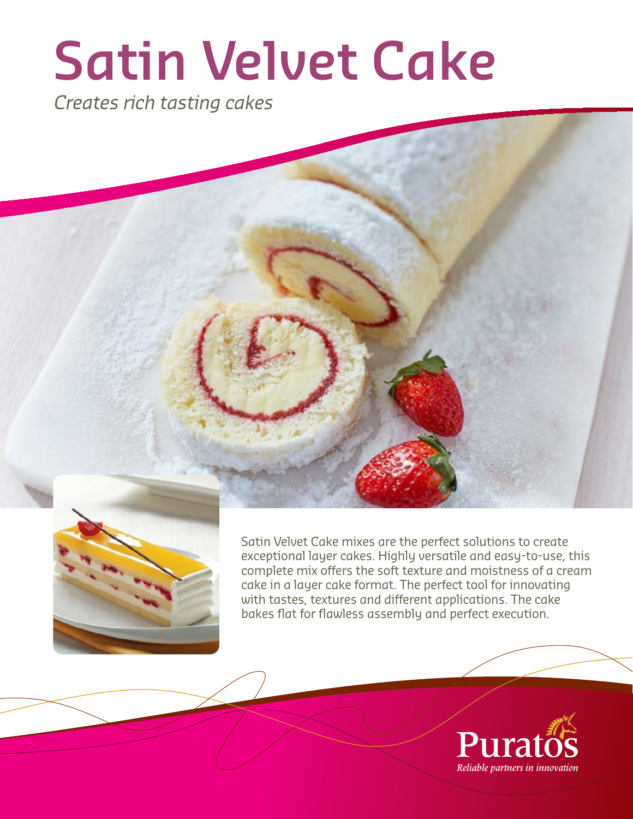# **Satin Velvet Cake**

Creates rich tasting cakes



Satin Velvet Cake mixes are the perfect solutions to create exceptional layer cakes. Highly versatile and easy-to-use, this complete mix offers the soft texture and moistness of a cream cake in a layer cake format. The perfect tool for innovating with tastes, textures and different applications. The cake bakes flat for flawless assembly and perfect execution.